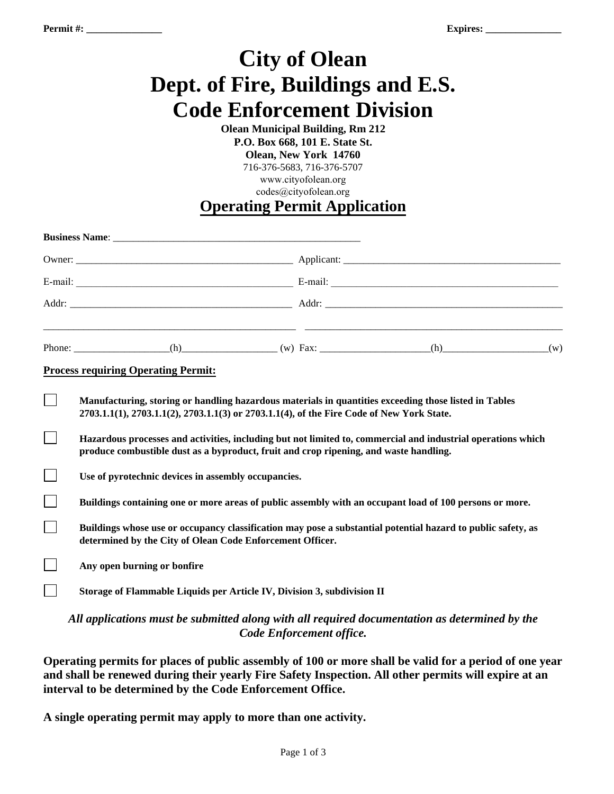# **City of Olean Dept. of Fire, Buildings and E.S. Code Enforcement Division**

**Olean Municipal Building, Rm 212 P.O. Box 668, 101 E. State St. Olean, New York 14760** 

716-376-5683, 716-376-5707 www.cityofolean.org codes@cityofolean.org

## **Operating Permit Application**

| <b>Process requiring Operating Permit:</b>                                                                                                                                                                                                                                                                                                                                                                  |  |  |  |  |  |  |
|-------------------------------------------------------------------------------------------------------------------------------------------------------------------------------------------------------------------------------------------------------------------------------------------------------------------------------------------------------------------------------------------------------------|--|--|--|--|--|--|
| Manufacturing, storing or handling hazardous materials in quantities exceeding those listed in Tables<br>2703.1.1(1), 2703.1.1(2), 2703.1.1(3) or 2703.1.1(4), of the Fire Code of New York State.<br>Hazardous processes and activities, including but not limited to, commercial and industrial operations which<br>produce combustible dust as a byproduct, fruit and crop ripening, and waste handling. |  |  |  |  |  |  |
| Use of pyrotechnic devices in assembly occupancies.                                                                                                                                                                                                                                                                                                                                                         |  |  |  |  |  |  |
| Buildings containing one or more areas of public assembly with an occupant load of 100 persons or more.                                                                                                                                                                                                                                                                                                     |  |  |  |  |  |  |
| Buildings whose use or occupancy classification may pose a substantial potential hazard to public safety, as<br>determined by the City of Olean Code Enforcement Officer.                                                                                                                                                                                                                                   |  |  |  |  |  |  |
| Any open burning or bonfire                                                                                                                                                                                                                                                                                                                                                                                 |  |  |  |  |  |  |
| Storage of Flammable Liquids per Article IV, Division 3, subdivision II                                                                                                                                                                                                                                                                                                                                     |  |  |  |  |  |  |

#### *All applications must be submitted along with all required documentation as determined by the Code Enforcement office.*

**Operating permits for places of public assembly of 100 or more shall be valid for a period of one year and shall be renewed during their yearly Fire Safety Inspection. All other permits will expire at an interval to be determined by the Code Enforcement Office.** 

**A single operating permit may apply to more than one activity.**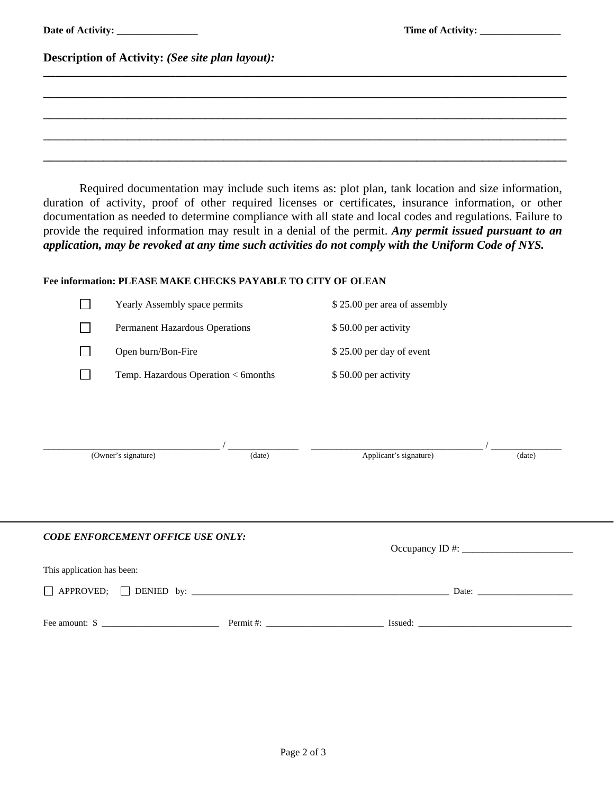| <b>Description of Activity:</b> (See site plan layout):                                                                                                                                                     |  |  |  |  |  |  |
|-------------------------------------------------------------------------------------------------------------------------------------------------------------------------------------------------------------|--|--|--|--|--|--|
|                                                                                                                                                                                                             |  |  |  |  |  |  |
|                                                                                                                                                                                                             |  |  |  |  |  |  |
|                                                                                                                                                                                                             |  |  |  |  |  |  |
|                                                                                                                                                                                                             |  |  |  |  |  |  |
| Required documentation may include such items as: plot plan, tank location and size information,<br>duration of activity, proof of other required licenses or certificates, insurance information, or other |  |  |  |  |  |  |

documentation as needed to determine compliance with all state and local codes and regulations. Failure to provide the required information may result in a denial of the permit. *Any permit issued pursuant to an application, may be revoked at any time such activities do not comply with the Uniform Code of NYS.*

#### **Fee information: PLEASE MAKE CHECKS PAYABLE TO CITY OF OLEAN**

|                                          | Yearly Assembly space permits         |  | \$25.00 per area of assembly                                                                                                                                                                                                                                                                    |        |  |  |  |  |
|------------------------------------------|---------------------------------------|--|-------------------------------------------------------------------------------------------------------------------------------------------------------------------------------------------------------------------------------------------------------------------------------------------------|--------|--|--|--|--|
|                                          | <b>Permanent Hazardous Operations</b> |  | \$50.00 per activity                                                                                                                                                                                                                                                                            |        |  |  |  |  |
|                                          | Open burn/Bon-Fire                    |  | \$25.00 per day of event                                                                                                                                                                                                                                                                        |        |  |  |  |  |
|                                          | Temp. Hazardous Operation < 6months   |  | \$50.00 per activity                                                                                                                                                                                                                                                                            |        |  |  |  |  |
|                                          |                                       |  |                                                                                                                                                                                                                                                                                                 |        |  |  |  |  |
|                                          |                                       |  |                                                                                                                                                                                                                                                                                                 |        |  |  |  |  |
|                                          |                                       |  |                                                                                                                                                                                                                                                                                                 |        |  |  |  |  |
| (Owner's signature)<br>(date)            |                                       |  | Applicant's signature)                                                                                                                                                                                                                                                                          | (data) |  |  |  |  |
|                                          |                                       |  |                                                                                                                                                                                                                                                                                                 |        |  |  |  |  |
|                                          |                                       |  |                                                                                                                                                                                                                                                                                                 |        |  |  |  |  |
|                                          |                                       |  |                                                                                                                                                                                                                                                                                                 |        |  |  |  |  |
| <b>CODE ENFORCEMENT OFFICE USE ONLY:</b> |                                       |  |                                                                                                                                                                                                                                                                                                 |        |  |  |  |  |
|                                          |                                       |  | Occupancy ID #: $\frac{1}{2}$ = $\frac{1}{2}$ = $\frac{1}{2}$ = $\frac{1}{2}$ = $\frac{1}{2}$ = $\frac{1}{2}$ = $\frac{1}{2}$ = $\frac{1}{2}$ = $\frac{1}{2}$ = $\frac{1}{2}$ = $\frac{1}{2}$ = $\frac{1}{2}$ = $\frac{1}{2}$ = $\frac{1}{2}$ = $\frac{1}{2}$ = $\frac{1}{2}$ = $\frac{1}{2}$ = |        |  |  |  |  |
| This application has been:               |                                       |  |                                                                                                                                                                                                                                                                                                 |        |  |  |  |  |
|                                          |                                       |  |                                                                                                                                                                                                                                                                                                 |        |  |  |  |  |
|                                          |                                       |  |                                                                                                                                                                                                                                                                                                 |        |  |  |  |  |
|                                          |                                       |  |                                                                                                                                                                                                                                                                                                 |        |  |  |  |  |
|                                          |                                       |  |                                                                                                                                                                                                                                                                                                 |        |  |  |  |  |